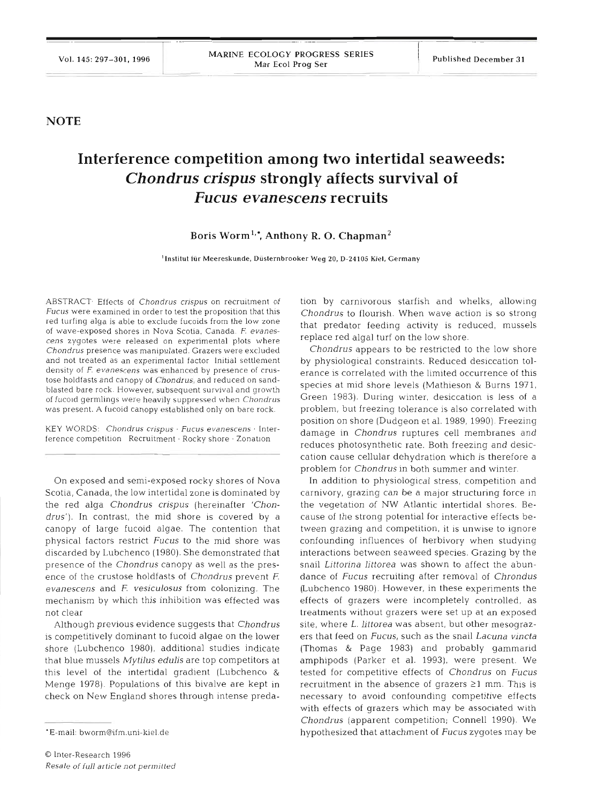**NOTE** 

## **Interference competition among two intertidal seaweeds:**  *Chondrus crispus* **strongly affects survival of**  *Fucus evanescens* **recruits**

Boris Worm<sup>1,•</sup>, Anthony R. O. Chapman<sup>2</sup>

**'Inslitut flir Meereskunde, Diisternbrooker Weg 20, D-24105 Kiel, Germany** 

ABSTRACT- Effects of Chondrus crispus on recruitment of Fucus were examined in order to test the proposition that this red turfing alga is able to exclude fucoids from the low zone of wave-exposed shores in Nova Scotia. Canada. E evanescens zygotes were released on expenmental plots where Chondrus presence was manipulated. Grazers were excluded and not treated as an experimental factor Initial settlement density of *F.* evanescens was enhanced by presence of crustose holdfasts and canopy of Chondrus, and reduced on sandblasted bare rock. However, subsequent survival and growth of fucoid germlings were heavily suppressed when Chondrus was present. A fucoid canopy established only on bare rock.

KEY WORDS: Chondrus crispus · Fucus evanescens · Interference competition Recruitment . Rocky shore . Zonation

On exposed and semi-exposed rocky shores of Nova Scotia, Canada, the low intertidal zone is dominated by the red alga *Chondrus crispus* (hereinafter *'Chondrus').* In contrast, the mid shore is covered by a canopy of large fucoid algae. The contention that physical factors restrict *Fucus* to the mid shore was discarded by Lubchenco (1980). She demonstrated that presence of the *Chondrus* canopy as well as the presence of the crustose holdfasts of *Chondrus* prevent *E evanescens* and *F. vesiculosus* from colonizing. The mechanism by which this inhibition was effected was not clear

Although previous evidence suggests that *Chondrus*  is competitively dominant to fucoid algae on the lower shore (Lubchenco 1980), additional studies indicate that blue mussels *Mytilus edulis* are top competitors at this level of the intertidal gradient (Lubchenco & Menge 1978). Populations of this bivalve are kept in check on New England shores through intense predation by carnivorous starfish and whelks, allowing *Chondrus* to flourish. When wave action is so strong that predator feeding activity is reduced, mussels replace red algal turf on the low shore.

Chondrus appears to be restricted to the low shore<br>by physiological constraints. Reduced desiccation tol-<br>erance is correlated with the limited occurrence of this<br>species at mid shore levels (Mathieson & Burns 1971<br>Green 1

(Lubchenco 1980). However, in these experiments the effects of grazers were incompletely controlled, as treatments without grazers were set up at an exposed site, where *L. littorea* was absent, but other mesograzers that (Thomas & Page 1983) and probably gammarid amphipods (Parker et al. 1993), were present. We tested for competitive effects of *Chondrus* on *Fucus* recruitment in the absence of grazers 21 mm. This is necessary to avoid confounding competitive effects with effects of grazers which may be associated with *Chondrus* (apparent competition; Connell 1990). We hypothesized that attachment of *Fucus* zygotes may be

<sup>&#</sup>x27;E-mail: bworm@ifm.uni-kiel.de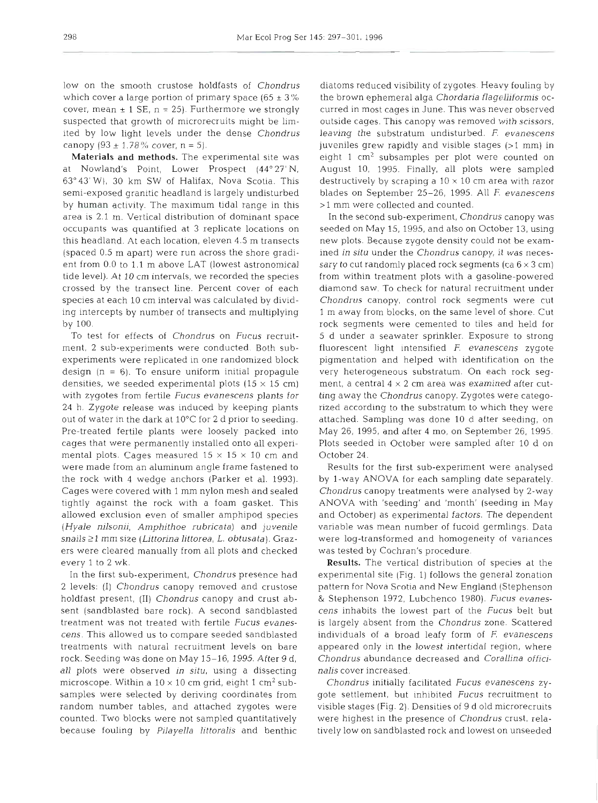low on the smooth crustose holdfasts of *Chondrus*  which cover a large portion of primary space  $(65 \pm 3\%)$ cover, mean  $\pm$  1 SE, n = 25). Furthermore we strongly suspected that growth of microrecruits might be limited by low light levels under the dense *Chondrus*  canopy  $(93 \pm 1.78\%$  cover,  $n = 5$ ).

Materials and methods. The experimental site was at Nowland's Point, Lower Prospect (44°27' N, 63"43'W), 30 km SW of Halifax, Nova Scotia. This semi-exposed granitic headland is largely undisturbed by human activity. The maximum tidal range in this area is 2.1 m. Vertical distribution of dominant space occupants was quantified at **3** replicate locations on this headland. At each location, eleven 4.5 m transects (spaced 0.5 m apart) were run across the shore gradient from 0.0 to 1.1 m above LAT (lowest astronomical tide level). At 10 cm intervals, we recorded the species crossed by the transect line. Percent cover of each species at each 10 cm interval was calculated by dividing intercepts by number of transects and multiplying by 100.

To test for effects of *Chondrus* on *Fucus* recruitment, *2* sub-experiments were conducted. Both subexperiments were replicated in one randomized block design  $(n = 6)$ . To ensure uniform initial propagule densities, we seeded experimental plots  $(15 \times 15 \text{ cm})$ with zygotes from fertile *Fucus evanescens* plants for 24 h. Zygote release was induced by keeping plants out of water in the dark at 10°C for 2 d prior to seeding. Pre-treated fertile plants were loosely packed into cages that were permanently installed onto all experlmental plots. Cages measured  $15 \times 15 \times 10$  cm and were made from an aluminum angle frame fastened to the rock with 4 wedge anchors (Parker et al. 1993). Cages were covered with 1 mm nylon mesh and sealed tightly against the rock with a foam gasket. This allowed exclusion even of smaller amphipod species *(Hyale nilsonii, Amphithoe rubricata)* and juvenile snails 11 mm size *(Littorina littorea,* L, *obtusata).* Grazers were cleared manually from all plots and checked every 1 to 2 wk.

In the first sub-experiment, *Chondrus* presence had 2 levels: (I) *Chondrus* canopy removed and crustose holdfast present, (11) *Chondrus* canopy and crust absent (sandblasted bare rock). A second sandblasted treatment was not treated with fertile *Fucus evanescens.* This allowed us to compare seeded sandblasted treatments with natural recruitment levels on bare rock. Seeding was done on May 15-16, 1995. After 9 d, all plots were observed in *situ,* using a dissecting microscope. Within a  $10 \times 10$  cm grid, eight 1 cm<sup>2</sup> subsamples were selected by deriving coordinates from random number tables, and attached zygotes were counted. Two blocks were not sampled quantitatively because foullng by *Pilayella littoralis* and benthlc

diatoms reduced visibility of zygotes. Heavy fouling by the brown ephemeral alga *Chordaria flagelliforrnis* occurred in most cages in June. This was never observed outside cages. This canopy was removed with scissors, leaving the substratum undisturbed. F. *evanescens*  juveniles grew rapidly and visible stages (>l mm) in eight 1  $\text{cm}^2$  subsamples per plot were counted on August 10, 1995. Finally, all plots were sampled destructively by scraping a  $10 \times 10$  cm area with razor blades on September 25-26, 1995. All F. *evanescens*  > *1 mm* were collected and counted.

In the second sub-experiment, *Chondrus* canopy was seeded on May 15, 1995, and also on October 13, using new plots. Because zygote density could not be examined *in situ* under the *Chondrus* canopy, it was necessary to cut randomly placed rock segments (ca  $6 \times 3$  cm) from within treatment plots with a gasoline-powered diamond saw. To check for natural recruitment under *Chondrus* canopy, control rock segments were cut 1 m away from blocks, on the same level of shore. Cut rock segments were cemented to tiles and held for 5 d under a seawater sprinkler. Exposure to strong fluorescent light intensified *F. evanescens* zygote pigmentation and helped with identification on the very heterogeneous substratum. On each rock segment, a central  $4 \times 2$  cm area was examined after cutting away the *Chondrus* canopy. Zygotes were categorized according to the substratum to which they were attached. Sampling was done 10 d after seeding, on May 26, 1995, and, after **4** mo, on September 26, 1995. Plots seeded in October were sampled after 10 d on October 24.

Results for the first sub-experiment were analysed by l-way ANOVA for each sampling date separately. *Chondrus* canopy treatments were analysed by 2-way ANOVA with 'seeding' and 'month' (seeding in May and October) as experimental factors. The dependent variable was mean number of fucoid germlings. Data were log-transformed and homogeneity of variances was tested by Cochran's procedure

Results. The vertical distribution of species at the experimental site (Fig. 1) follows the general zonation pattern for Nova Srotia and New England (Stephenson & Stephenson 1972, Lubchenco 1980). *Fucus evanescens* inhabits the lowest part of the *Fucus* belt but is largely absent from the *Chondrus* zone. Scattered individuals of a broad leafy form of E *evanescens*  appeared only in the lowest intertidal region, where *Chondrus* abundance decreased and *Corallina officinalis* cover increased.

*Chondrus* initially facilitated *Fucus evanescens* zygote settlement, but inhibited *Fucus* recruitment to visible stages (Fig. 2). Densities of 9 d old microrecruits were highest in the presence of *Chondrus* crust, relatively low on sandblasted rock and lowest on unseeded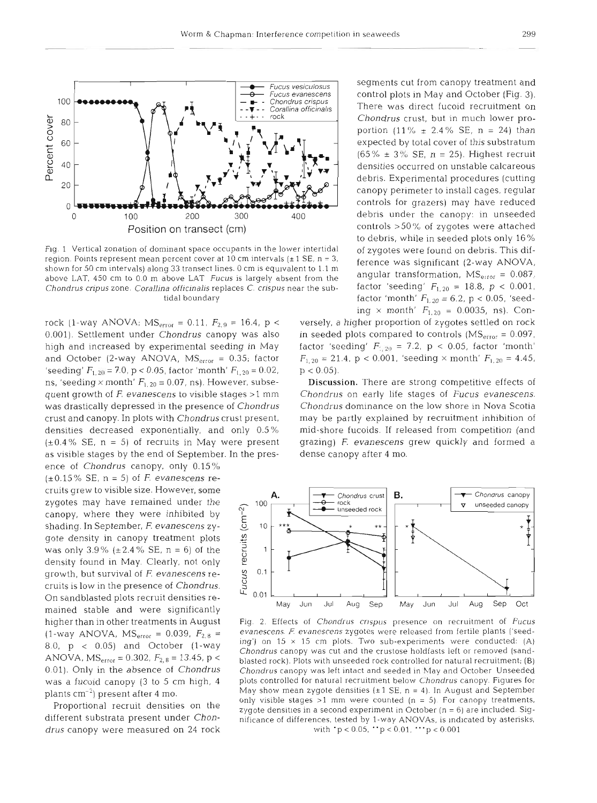

Fig. 1 Vertical zonation of dominant space occupants in the lower intertidal of zygotes were found on debris. This dif-<br>region. Points represent mean percent cover at 10 cm intervals  $(\pm 1 \text{ SE}, n = 3, \ldots, n = 3)$  for ance sig region. Points represent mean percent cover at 10 cm intervals (± 1 SE, n = 3, and ference was significant (2-way ANOVA, shown for 50 cm intervals) along 33 transect lines. 0 cm is equivalent to 1.1 m<br>above 1 AT, 450 cm to above LAT, 450 cm to 0.0 m above LAT *Fucus* is largely absent from the angular transformation, MS<sub>eiror</sub> = 0.087,<br>Chondrus cripus zone, Corallina officinalis replaces C, crispus near the sub- factor 'seeding' F<sub>1,20</sub> = 18 *Chondrus cripus zone. Corallina officinalis replaces <i>C. crispus* near the sub-

0.001). Settlement under Chondrus canopy was also in seeded plots compared to controls  $(MS_{\text{error}} = 0.097)$ , high and increased by experimental seeding in May factor 'seeding'  $F_{1,20} = 7.2$ , p < 0.05, factor 'month' and October (2-way ANOVA,  $MS_{error} = 0.35$ ; factor  $F_{1,20} = 21.4$ ,  $p < 0.001$ , 'seeding x month'  $F_{1,20} = 4.45$ , 'seeding'  $F_{1,20}$  = 7.0, p < 0.05, factor 'month'  $F_{1,20}$  = 0.02, p < 0.05). ns, 'seeding  $\times$  month'  $F_{1,20} = 0.07$ , ns). However, subse-<br>**Discussion.** There are strong competitive effects of quent growth of F. evanescens to visible stages >1 mm Chondrus on early life stages of Fucus evanescens. was drastically depressed in the presence of Chondrus Chondrus dominance on the low shore in Nova Scotia crust and canopy. In plots with Chondrus crust present, may be partly explained by recruitment inhibition of densities decreased exponentially, and only 0.5% mid-shore fucoids. If released from competition (and  $(\pm 0.4\%$  SE, n = 5) of recruits in May were present grazing) F. evanescens grew quickly and formed a as visible stages by the end of September. In the pres- dense canopy after 4 mo. ence of Chondrus canopy, only 0.15%

 $(\pm 0.15\% \text{ SE}, n = 5)$  of *F. evanescens* rezygotes may have remained under the  $\sim$  100  $\sim$   $\sim$   $\sim$   $\sim$   $\sim$  rock canopy, where they were inhibited by shading. In September, *E* evanescens zy- **E** l0 gote density in canopy treatment plots was only 3.9% ( $\pm 2.4$ % SE, n = 6) of the  $\frac{1}{5}$  1 density found in May. Clearly, not only growth, but survival of F. evanescens re-  $\frac{9}{3}$  0.1 cruits is low in the presence of *Chondrus*.<br>On candidated plats recruit densities result to 0.01

segments cut from canopy treatment and **portion**  $(11\% \pm 2.4\% \text{ SE}, n = 24)$  than  $(65\% \pm 3\% \text{ SE}, n = 25)$ . Highest recruit densities occurred on unstable calcareous to debris, while in seeded plots only 16% tidal boundary factor 'month'  $F_{1,20} = 6.2$ , p < 0.05, 'seeding  $\times$  month'  $F_{1,20} = 0.0035$ , ns). Con-

rock (1-way ANOVA;  $MS_{error} = 0.11$ ,  $F_{2.9} = 16.4$ ,  $p <$  versely, a higher proportion of zygotes settled on rock



0.01). Only in the absence of Chondrus *Chondrus* canopy was left intact and seeded in May and October Unseeded was a fucoid canopy (3 to 5 cm high, 4 plots controlled for natural recruitment below *Chondrus* canopy. Figures for<br>plants cm<sup>-2</sup>) present after 4 mo May show mean zygote densities (±1 SE, n = 4). In August and September plants cm<sup>-2</sup>) present after 4 mo.<br>
Proportional recruit densities on the stages >1 mm were counted (n = 5). For canopy treatments,<br>
different substrata present under *Chon*-<br>
differences, tested by 1-way ANOVAs, is indic drus canopy were measured on 24 rock with  $\mathbf{p} < 0.05$ ,  $\mathbf{p} < 0.01$ ,  $\mathbf{p} < 0.001$ (1-way ANOVA,  $MS_{error} = 0.039$ ,  $F_{2,8} =$  *evanescens. F. evanescens zygotes were released from fertile plants ('seed-*<br> $\frac{10,051,0051,0051,0051,0000}{20,0000}$  (1. way ing) on 15 × 15 cm plots. Two sub-experiments were cond  $p > 0.05$  and October (1-way ing) on 15  $\times$  15 cm plots. Two sub-experiments were conducted: (A) *Chondrus* canopy was cut and the crustose holdfasts left or removed (sand-<br>ANOVA, MS<sub>error</sub> = 0.302,  $F_{2,8}$  = 13.45,  $p <$ blasted rock). Plots with unseeded rock controlled for natural recruitment; (B)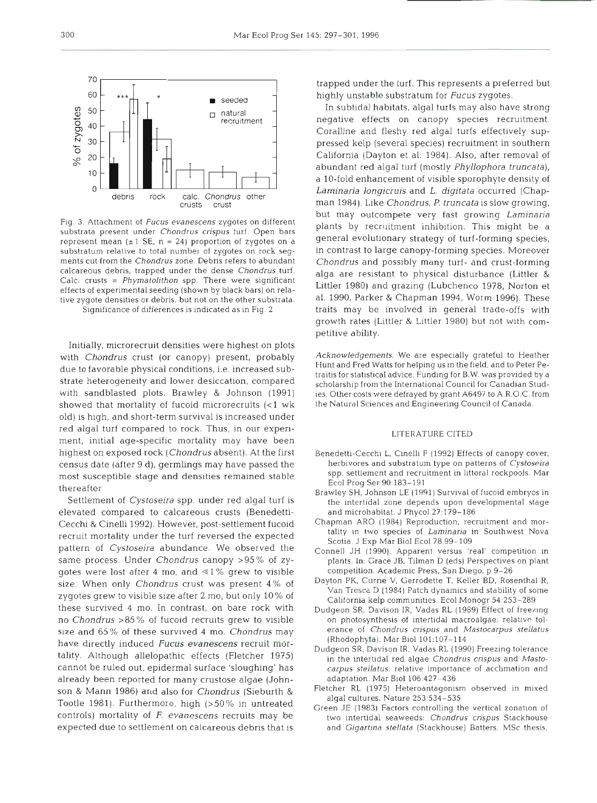

Fig. 3. Attachment of Fucus evanescens zygotes on different substrata present under Chondrus crispus turf. Open bars represent mean  $(\pm 1 \text{ SE}, n = 24)$  proportion of zygotes on a substratum relative to total number of zygotes on rock segments cut from the Chondrus zone Debris refers to abundant calcareous debris, trapped under the dense Chondrus turf. Calc. crusts =  $Phymatolithon$  spp. There were significant effects of experimental seeding (shown by black bars) on relative zygote densities or debris, but not on the other substrata. Significance of differences is indicated as in Fig. 2

Initially, microrecruit densities were highest on plots with Chondrus crust (or canopy) present, probably due to favorable physical conditions, i.e. increased substrate heterogeneity and lower desiccation, compared with sandblasted plots. Brawley & Johnson (1991) showed that mortality of fucoid microrecruits  $\leq 1$  wk old) is high, and short-term survival is increased under red algal turf compared to rock. Thus, in our expenment, initial age-specific mortality may have been highest on exposed rock (Chondrus absent). At the first census date (after 9 d), germlings may have passed the most susceptible stage and densities remained stable thereafter

Settlement of Cystoseira spp. under red algal turf is elevated compared to calcareous crusts (Benedetti-Cecchi & Cinelli 1992). However, post-settlement fucoid recruit mortality under the turf reversed the expected pattern of Cystoseira abundance. We observed the same process. Under Chondrus canopy >95% of zygotes were lost after 4 mo, and  $\leq 1\%$  grew to visible size. When only Chondrus crust was present 4% of zygotes grew to visible size after 2 mo, but only 10% of these survived 4 mo. In contrast, on bare rock with no Chondrus >85 % of fucoid recruits grew to visible size and  $65\%$  of these survived 4 mo. Chondrus may have directly induced Fucus evanescens recruit mortality. Although allelopathic effects (Fletcher 1975) cannot be ruled out, epidermal surface 'sloughing' has already been reported for many crustose algae (Johnson & Mann 1986) and also for Chondrus (Sieburth & Tootle 1981). Furthermore, high (>50% in untreated controls) mortality of  $F$ . evanescens recruits may be expected due to settlement on calcareous debris that is

trapped under the turf. This represents a preferred but highly unstable substratum for Fucus zygotes.

In subtidal habitats, algal turfs may also have strong negative effects on canopy species recruitment. Coralline and fleshy red algal turfs effectively suppressed kelp (several species) recruitment in southern California (Dayton et al. 1984). Also, after removal of abundant red algal turf (mostly Phyllophora truncata), a 10-fold enhancement of visible sporophyte density of Laminaria longicruis and L. digitata occurred (Chapman 1984). Like Chondrus, P. truncata is slow growing, but may outcompete very fast growing Laminaria plants by recruitment inhibition. This might be a general evolutionary strategy of turf-forming species, in contrast to large canopy-forming species. Moreover Chondrus and possibly many turf- and crust-forming alga are resistant to physical disturbance (Littler & Littler 1980) and grazing (Lubchenco 1978, Norton et al. 1990, Parker & Chapman 1994, Worm 1996). These traits may be involved in general trade-offs with growth rates (Littler & Littler 1980) but not with competitive ability.

Acknowledgements. We are especially grateful to Heather Hunt and Fred Watts for helping us in the field, and to Peter Petraitis for statistical advice. Funding for B.W. was provided by a scholarship from the International Council for Canadian Studies. Other costs were defrayed by grant A6497 to A.R.O.C. from the Natural Sciences and Engineering Council of Canada.

## LITERATURE CITED

- Benedetti-Cecchi L, Cinelli F (1992) Effects of canopy cover, herbivores and substratum type on patterns of Cystoseira spp. settlement and recruitment in littoral rockpools. Mar Ecol Prog Ser 90:183-191
- Brawley SH, Johnson LE (1991) Survival of fucoid embryos in the intertidal zone depends upon developmental stage and microhabitat. J Phycol 27:179-186
- Chapman ARO (1984) Reproduction, recruitment and mortality in two species of Laminaria in Southwest Nova Scotia. J Exp Mar Biol Ecol78:99- 109
- Connell JH (1990). Apparent versus 'real' competition in plants. In: Grace JB, Tilman D (eds) Perspectives on plant competition. Academic Press, San Diego. p 9-26
- Dayton PK, Currie V, Gerrodette T, Keller BD, Rosenthal R, Van Tresca D (1984) Patch dynamics and stability of some California kelp communities. Ecol Monogr 54:253-289
- Dudgeon SR, Davison IR, Vadas RL (1989) Effect of freezing on photosynthesis of intertidal macroalgae: relativc tolerance of Chondrus crispus and Maslocarpus stellatus (Rhodophyta). Mar Biol 101:107-114
- Dudgeon SR, Davison IR, Vadas RL (1990) Freezing tolerance in the intertidal red algae Chondrus crispus and Mastocarpus stellatus: relative importance of accllrnation and adaptation. Mar Blol 106:423-436
- Fletcher RL (1975) Heteroantagonism observed in mixed algal cultures. Nature 253:534-535
- Green JE (1983) Factors controlling the vertical zonation of two intertidal seaweeds: Chondrus crispus Stackhouse and Gigartina stellata (Stackhouse) Batters. MSc thesis,